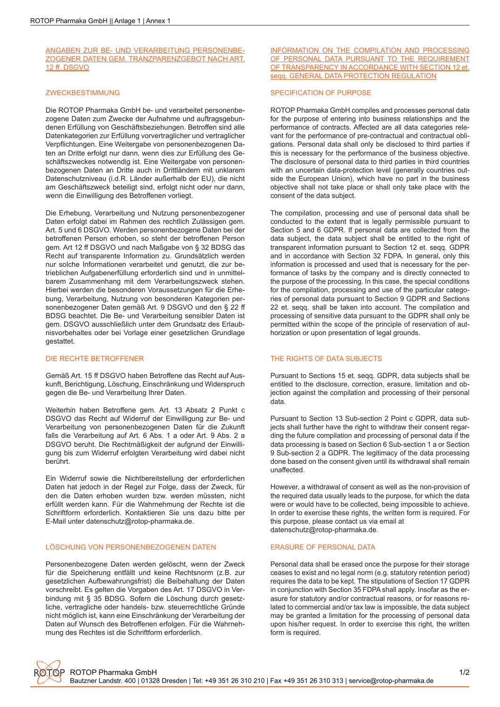ANGABEN ZUR BE- UND VERARBEITUNG PERSONENBE-ZOGENER DATEN GEM. TRANZPARENZGEBOT NACH ART. 12 ff. DSGVO

#### ZWECKBESTIMMUNG

Die ROTOP Pharmaka GmbH be- und verarbeitet personenbezogene Daten zum Zwecke der Aufnahme und auftragsgebundenen Erfüllung von Geschäftsbeziehungen. Betroffen sind alle Datenkategorien zur Erfüllung vorvertraglicher und vertraglicher Verpflichtungen. Eine Weitergabe von personenbezogenen Daten an Dritte erfolgt nur dann, wenn dies zur Erfüllung des Geschäftszweckes notwendig ist. Eine Weitergabe von personenbezogenen Daten an Dritte auch in Drittländern mit unklarem Datenschutzniveau (i.d.R. Länder außerhalb der EU), die nicht am Geschäftszweck beteiligt sind, erfolgt nicht oder nur dann, wenn die Einwilligung des Betroffenen vorliegt.

Die Erhebung, Verarbeitung und Nutzung personenbezogener Daten erfolgt dabei im Rahmen des rechtlich Zulässigen gem. Art. 5 und 6 DSGVO. Werden personenbezogene Daten bei der betroffenen Person erhoben, so steht der betroffenen Person gem. Art 12 ff DSGVO und nach Maßgabe von § 32 BDSG das Recht auf transparente Information zu. Grundsätzlich werden nur solche Informationen verarbeitet und genutzt, die zur betrieblichen Aufgabenerfüllung erforderlich sind und in unmittelbarem Zusammenhang mit dem Verarbeitungszweck stehen. Hierbei werden die besonderen Voraussetzungen für die Erhebung, Verarbeitung, Nutzung von besonderen Kategorien personenbezogener Daten gemäß Art. 9 DSGVO und den § 22 ff BDSG beachtet. Die Be- und Verarbeitung sensibler Daten ist gem. DSGVO ausschließlich unter dem Grundsatz des Erlaubnisvorbehaltes oder bei Vorlage einer gesetzlichen Grundlage gestattet.

### DIE RECHTE BETROFFENER

Gemäß Art. 15 ff DSGVO haben Betroffene das Recht auf Auskunft, Berichtigung, Löschung, Einschränkung und Widerspruch gegen die Be- und Verarbeitung Ihrer Daten.

Weiterhin haben Betroffene gem. Art. 13 Absatz 2 Punkt c DSGVO das Recht auf Widerruf der Einwilligung zur Be- und Verarbeitung von personenbezogenen Daten für die Zukunft falls die Verarbeitung auf Art. 6 Abs. 1 a oder Art. 9 Abs. 2 a DSGVO beruht. Die Rechtmäßigkeit der aufgrund der Einwilligung bis zum Widerruf erfolgten Verarbeitung wird dabei nicht berührt.

Ein Widerruf sowie die Nichtbereitstellung der erforderlichen Daten hat jedoch in der Regel zur Folge, dass der Zweck, für den die Daten erhoben wurden bzw. werden müssten, nicht erfüllt werden kann. Für die Wahrnehmung der Rechte ist die Schriftform erforderlich. Kontaktieren Sie uns dazu bitte per E-Mail unter datenschutz@rotop-pharmaka.de.

#### LÖSCHUNG VON PERSONENBEZOGENEN DATEN

Personenbezogene Daten werden gelöscht, wenn der Zweck für die Speicherung entfällt und keine Rechtsnorm (z.B. zur gesetzlichen Aufbewahrungsfrist) die Beibehaltung der Daten vorschreibt. Es gelten die Vorgaben des Art. 17 DSGVO in Verbindung mit § 35 BDSG. Sofern die Löschung durch gesetzliche, vertragliche oder handels- bzw. steuerrechtliche Gründe nicht möglich ist, kann eine Einschränkung der Verarbeitung der Daten auf Wunsch des Betroffenen erfolgen. Für die Wahrnehmung des Rechtes ist die Schriftform erforderlich.

### INFORMATION ON THE COMPILATION AND PROCESSING OF PERSONAL DATA PURSUANT TO THE REQUIREMENT OF TRANSPARENCY IN ACCORDANCE WITH SECTION 12 et. seqq. GENERAL DATA PROTECTION REGULATION

#### SPECIFICATION OF PURPOSE

ROTOP Pharmaka GmbH compiles and processes personal data for the purpose of entering into business relationships and the performance of contracts. Affected are all data categories relevant for the performance of pre-contractual and contractual obligations. Personal data shall only be disclosed to third parties if this is necessary for the performance of the business objective. The disclosure of personal data to third parties in third countries with an uncertain data-protection level (generally countries outside the European Union), which have no part in the business objective shall not take place or shall only take place with the consent of the data subject.

The compilation, processing and use of personal data shall be conducted to the extent that is legally permissible pursuant to Section 5 and 6 GDPR. If personal data are collected from the data subject, the data subject shall be entitled to the right of transparent information pursuant to Section 12 et. seqq. GDPR and in accordance with Section 32 FDPA. In general, only this information is processed and used that is necessary for the performance of tasks by the company and is directly connected to the purpose of the processing. In this case, the special conditions for the compilation, processing and use of the particular categories of personal data pursuant to Section 9 GDPR and Sections 22 et. seqq. shall be taken into account. The compilation and processing of sensitive data pursuant to the GDPR shall only be permitted within the scope of the principle of reservation of authorization or upon presentation of legal grounds.

### THE RIGHTS OF DATA SUBJECTS

Pursuant to Sections 15 et. seqq. GDPR, data subjects shall be entitled to the disclosure, correction, erasure, limitation and objection against the compilation and processing of their personal data.

Pursuant to Section 13 Sub-section 2 Point c GDPR, data subjects shall further have the right to withdraw their consent regarding the future compilation and processing of personal data if the data processing is based on Section 6 Sub-section 1 a or Section 9 Sub-section 2 a GDPR. The legitimacy of the data processing done based on the consent given until its withdrawal shall remain unaffected.

However, a withdrawal of consent as well as the non-provision of the required data usually leads to the purpose, for which the data were or would have to be collected, being impossible to achieve. In order to exercise these rights, the written form is required. For this purpose, please contact us via email at datenschutz@rotop-pharmaka.de.

### ERASURE OF PERSONAL DATA

Personal data shall be erased once the purpose for their storage ceases to exist and no legal norm (e.g. statutory retention period) requires the data to be kept. The stipulations of Section 17 GDPR in conjunction with Section 35 FDPA shall apply. Insofar as the erasure for statutory and/or contractual reasons, or for reasons related to commercial and/or tax law is impossible, the data subject may be granted a limitation for the processing of personal data upon his/her request. In order to exercise this right, the written form is required.